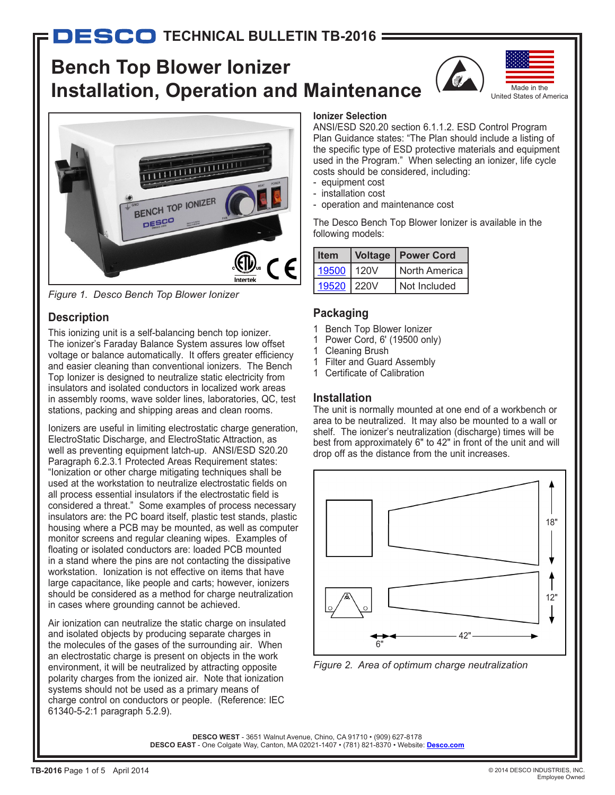# **Bench Top Blower Ionizer Installation, Operation and Maintenance**





*Figure 1. Desco Bench Top Blower Ionizer*

## **Description**

This ionizing unit is a self-balancing bench top ionizer. The ionizer's Faraday Balance System assures low offset voltage or balance automatically. It offers greater efficiency and easier cleaning than conventional ionizers. The Bench Top Ionizer is designed to neutralize static electricity from insulators and isolated conductors in localized work areas in assembly rooms, wave solder lines, laboratories, QC, test stations, packing and shipping areas and clean rooms.

Ionizers are useful in limiting electrostatic charge generation, ElectroStatic Discharge, and ElectroStatic Attraction, as well as preventing equipment latch-up. ANSI/ESD S20.20 Paragraph 6.2.3.1 Protected Areas Requirement states: "Ionization or other charge mitigating techniques shall be used at the workstation to neutralize electrostatic fields on all process essential insulators if the electrostatic field is considered a threat." Some examples of process necessary insulators are: the PC board itself, plastic test stands, plastic housing where a PCB may be mounted, as well as computer monitor screens and regular cleaning wipes. Examples of floating or isolated conductors are: loaded PCB mounted in a stand where the pins are not contacting the dissipative workstation. Ionization is not effective on items that have large capacitance, like people and carts; however, ionizers should be considered as a method for charge neutralization in cases where grounding cannot be achieved.

Air ionization can neutralize the static charge on insulated and isolated objects by producing separate charges in the molecules of the gases of the surrounding air. When an electrostatic charge is present on objects in the work environment, it will be neutralized by attracting opposite polarity charges from the ionized air. Note that ionization systems should not be used as a primary means of charge control on conductors or people. (Reference: IEC 61340-5-2:1 paragraph 5.2.9).

### **Ionizer Selection**

ANSI/ESD S20.20 section 6.1.1.2. ESD Control Program Plan Guidance states: "The Plan should include a listing of the specific type of ESD protective materials and equipment used in the Program." When selecting an ionizer, life cycle costs should be considered, including:

- equipment cost
- installation cost
- operation and maintenance cost

The Desco Bench Top Blower Ionizer is available in the following models:

| <b>Item</b> | <b>Voltage   Power Cord</b> |
|-------------|-----------------------------|
| 19500 120V  | North America I             |
| 19520 220V  | Not Included                |

## **Packaging**

- 1 Bench Top Blower Ionizer
- 1 Power Cord, 6' (19500 only)
- 1 Cleaning Brush
- 1 Filter and Guard Assembly
- 1 Certificate of Calibration

## **Installation**

The unit is normally mounted at one end of a workbench or area to be neutralized. It may also be mounted to a wall or shelf. The ionizer's neutralization (discharge) times will be best from approximately 6" to 42" in front of the unit and will drop off as the distance from the unit increases.



*Figure 2. Area of optimum charge neutralization*

**DESCO WEST** - 3651 Walnut Avenue, Chino, CA 91710 • (909) 627-8178 **DESCO EAST** - One Colgate Way, Canton, MA 02021-1407 • (781) 821-8370 • Website: **[Desco.com](http://www.descoemit.com)**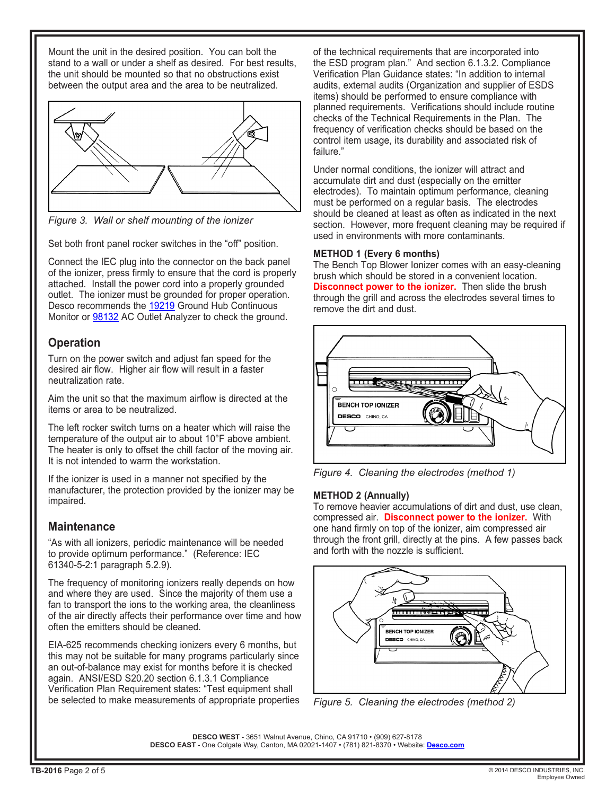Mount the unit in the desired position. You can bolt the stand to a wall or under a shelf as desired. For best results, the unit should be mounted so that no obstructions exist between the output area and the area to be neutralized.



*Figure 3. Wall or shelf mounting of the ionizer*

Set both front panel rocker switches in the "off" position.

Connect the IEC plug into the connector on the back panel of the ionizer, press firmly to ensure that the cord is properly attached. Install the power cord into a properly grounded outlet. The ionizer must be grounded for proper operation. Desco recommends the [19219](http://www.desco.com/DescoCatalog/TestingMeasurementEquipment/ContinuousMonitors/GroundHubContinuousMonitor/19219/) Ground Hub Continuous Monitor or **98132** AC Outlet Analyzer to check the ground.

## **Operation**

Turn on the power switch and adjust fan speed for the desired air flow. Higher air flow will result in a faster neutralization rate.

Aim the unit so that the maximum airflow is directed at the items or area to be neutralized.

The left rocker switch turns on a heater which will raise the temperature of the output air to about 10°F above ambient. The heater is only to offset the chill factor of the moving air. It is not intended to warm the workstation.

If the ionizer is used in a manner not specified by the manufacturer, the protection provided by the ionizer may be impaired.

## **Maintenance**

"As with all ionizers, periodic maintenance will be needed to provide optimum performance." (Reference: IEC 61340-5-2:1 paragraph 5.2.9).

The frequency of monitoring ionizers really depends on how and where they are used. Since the majority of them use a fan to transport the ions to the working area, the cleanliness of the air directly affects their performance over time and how often the emitters should be cleaned.

EIA-625 recommends checking ionizers every 6 months, but this may not be suitable for many programs particularly since an out-of-balance may exist for months before it is checked again. ANSI/ESD S20.20 section 6.1.3.1 Compliance Verification Plan Requirement states: "Test equipment shall be selected to make measurements of appropriate properties of the technical requirements that are incorporated into the ESD program plan." And section 6.1.3.2. Compliance Verification Plan Guidance states: "In addition to internal audits, external audits (Organization and supplier of ESDS items) should be performed to ensure compliance with planned requirements. Verifications should include routine checks of the Technical Requirements in the Plan. The frequency of verification checks should be based on the control item usage, its durability and associated risk of failure."

Under normal conditions, the ionizer will attract and accumulate dirt and dust (especially on the emitter electrodes). To maintain optimum performance, cleaning must be performed on a regular basis. The electrodes should be cleaned at least as often as indicated in the next section. However, more frequent cleaning may be required if used in environments with more contaminants.

#### **METHOD 1 (Every 6 months)**

The Bench Top Blower Ionizer comes with an easy-cleaning brush which should be stored in a convenient location. **Disconnect power to the ionizer.** Then slide the brush through the grill and across the electrodes several times to remove the dirt and dust.



*Figure 4. Cleaning the electrodes (method 1)*

#### **METHOD 2 (Annually)**

To remove heavier accumulations of dirt and dust, use clean, compressed air. **Disconnect power to the ionizer.** With one hand firmly on top of the ionizer, aim compressed air through the front grill, directly at the pins. A few passes back and forth with the nozzle is sufficient.



*Figure 5. Cleaning the electrodes (method 2)*

**DESCO WEST** - 3651 Walnut Avenue, Chino, CA 91710 • (909) 627-8178 **DESCO EAST** - One Colgate Way, Canton, MA 02021-1407 • (781) 821-8370 • Website: **[Desco.com](http://www.descoemit.com)**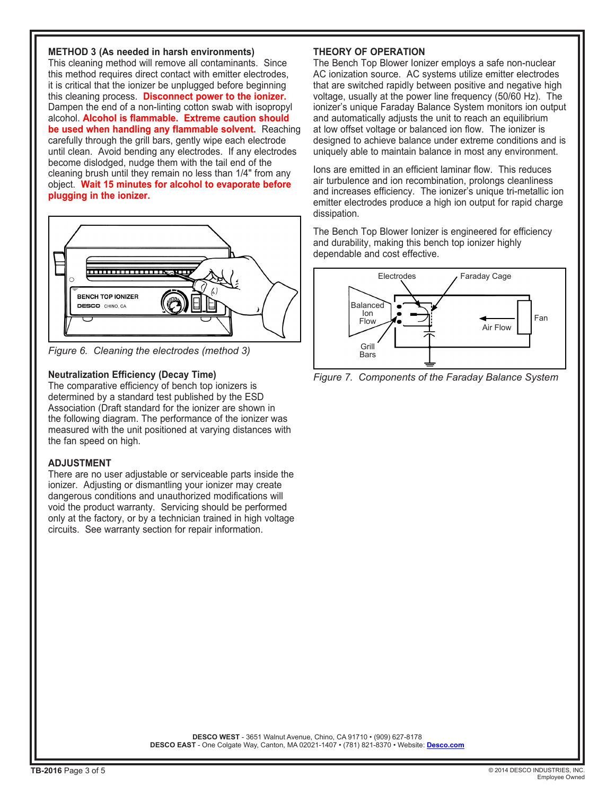#### **METHOD 3 (As needed in harsh environments)**

This cleaning method will remove all contaminants. Since this method requires direct contact with emitter electrodes, it is critical that the ionizer be unplugged before beginning this cleaning process. **Disconnect power to the ionizer.** Dampen the end of a non-linting cotton swab with isopropyl alcohol. **Alcohol is flammable. Extreme caution should be used when handling any flammable solvent.** Reaching carefully through the grill bars, gently wipe each electrode until clean. Avoid bending any electrodes. If any electrodes become dislodged, nudge them with the tail end of the cleaning brush until they remain no less than 1/4" from any object. **Wait 15 minutes for alcohol to evaporate before plugging in the ionizer.**



*Figure 6. Cleaning the electrodes (method 3)*

#### **Neutralization Efficiency (Decay Time)**

The comparative efficiency of bench top ionizers is determined by a standard test published by the ESD Association (Draft standard for the ionizer are shown in the following diagram. The performance of the ionizer was measured with the unit positioned at varying distances with the fan speed on high.

#### **ADJUSTMENT**

There are no user adjustable or serviceable parts inside the ionizer. Adjusting or dismantling your ionizer may create dangerous conditions and unauthorized modifications will void the product warranty. Servicing should be performed only at the factory, or by a technician trained in high voltage circuits. See warranty section for repair information.

## **THEORY OF OPERATION**

The Bench Top Blower Ionizer employs a safe non-nuclear AC ionization source. AC systems utilize emitter electrodes that are switched rapidly between positive and negative high voltage, usually at the power line frequency (50/60 Hz). The ionizer's unique Faraday Balance System monitors ion output and automatically adjusts the unit to reach an equilibrium at low offset voltage or balanced ion flow. The ionizer is designed to achieve balance under extreme conditions and is uniquely able to maintain balance in most any environment.

Ions are emitted in an efficient laminar flow. This reduces air turbulence and ion recombination, prolongs cleanliness and increases efficiency. The ionizer's unique tri-metallic ion emitter electrodes produce a high ion output for rapid charge dissipation.

The Bench Top Blower Ionizer is engineered for efficiency and durability, making this bench top ionizer highly dependable and cost effective.



*Figure 7. Components of the Faraday Balance System*

**DESCO WEST** - 3651 Walnut Avenue, Chino, CA 91710 • (909) 627-8178 **DESCO EAST** - One Colgate Way, Canton, MA 02021-1407 • (781) 821-8370 • Website: **[Desco.com](http://www.descoemit.com)**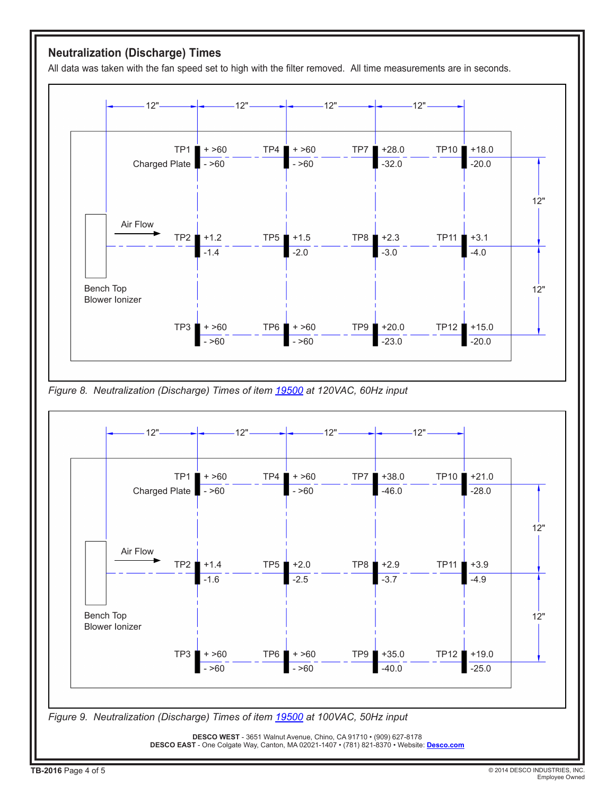# **Neutralization (Discharge) Times**

All data was taken with the fan speed set to high with the filter removed. All time measurements are in seconds.







TB-2016 Page 4 of 5 © 2014 DESCO INDUSTRIES, INC. Employee Owned